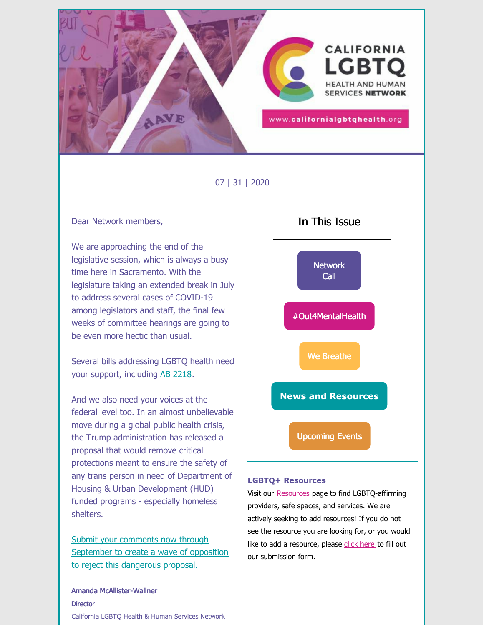

07 | 31 | 2020

#### Dear Network members,

We are approaching the end of the legislative session, which is always a busy time here in Sacramento. With the legislature taking an extended break in July to address several cases of COVID-19 among legislators and staff, the final few weeks of committee hearings are going to be even more hectic than usual.

Several bills addressing LGBTQ health need your support, including AB [2218](https://twitter.com/TransLatina_C/status/1288548684234465280).

And we also need your voices at the federal level too. In an almost unbelievable move during a global public health crisis, the Trump administration has released a proposal that would remove critical protections meant to ensure the safety of any trans person in need of Department of Housing & Urban Development (HUD) funded programs - especially homeless shelters.

Submit your comments now through [September](http://housingsaveslives.org) to create a wave of opposition to reject this dangerous proposal.

Amanda McAllister-Wallner **Director** California LGBTQ Health & Human Services Network



#### **LGBTQ+ Resources**

Visit our [Resources](https://californialgbtqhealth.org/resources/) [p](https://californialgbtqhealth.org/resources/)age to find LGBTQ-affirming providers, safe spaces, and services. We are actively seeking to add resources! If you do not see the resource you are looking for, or you would like to add a resource, please [click](https://docs.google.com/forms/d/e/1FAIpQLScgcTW9SPPEXRX75qji63g2L7buc2y2mus0b3LneUcNL8JRDg/viewform) here to fill out our submission form.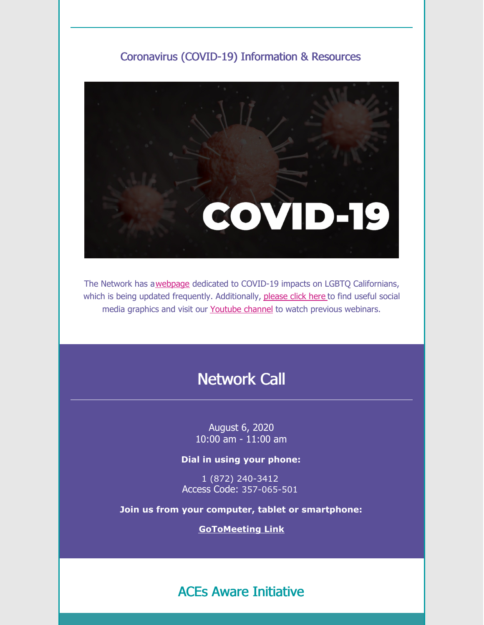### Coronavirus (COVID-19) Information & Resources



The Network has a[webpage](https://californialgbtqhealth.org/resources/coronavirus-2019-information/) dedicated to COVID-19 impacts on LGBTQ Californians, which is being updated frequently. Additionally, [please](https://drive.google.com/drive/folders/1vkNJPhtlLEfaW1uv1YFyQLb5ZaTHJY5o?usp=sharing) click here to find useful social media graphics and visit our [Youtube](https://www.youtube.com/channel/UCHnQ3mqPPdafSsmeDqQ45wA?view_as=subscriber) channel to watch previous webinars.

# Network Call

August 6, 2020 10:00 am - 11:00 am

**Dial in using your phone:**

1 (872) 240-3412 Access Code: 357-065-501

**Join us from your computer, tablet or smartphone:**

**[GoToMeeting](https://global.gotomeeting.com/join/357065501) Link**

ACEs Aware Initiative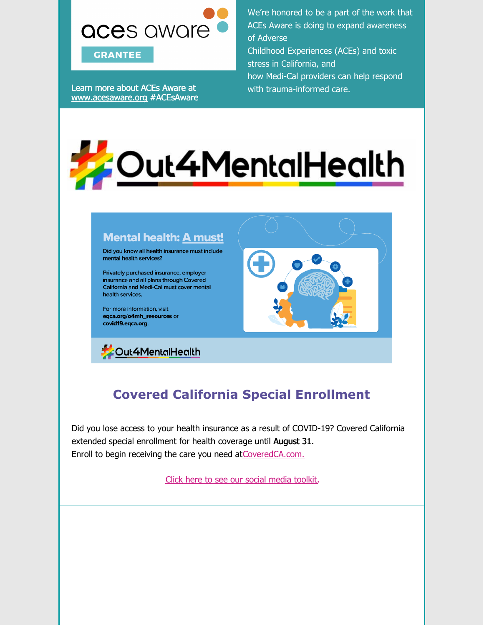

Learn more about ACEs Aware at [www.acesaware.org](https://www.acesaware.org/) #ACEsAware We're honored to be a part of the work that ACEs Aware is doing to expand awareness of Adverse Childhood Experiences (ACEs) and toxic stress in California, and

how Medi-Cal providers can help respond with trauma-informed care.



### **Mental health: A must!**

Did you know all health insurance must include mental health services?

Privately purchased insurance, employer insurance and all plans through Covered California and Medi-Cal must cover mental health services.

For more information, visit eqca.org/o4mh\_resources or covid19.eqca.org.





## **Covered California Special Enrollment**

Did you lose access to your health insurance as a result of COVID-19? Covered California extended special enrollment for health coverage until August 31. Enroll to begin receiving the care you need at[CoveredCA.com.](https://www.coveredca.com/)

Click here to see our social media [toolkit](https://docs.google.com/document/d/1WVIG5AKC858JMBamFfvQNqoKaV2kHqTGStd6ZUW3JSw/edit).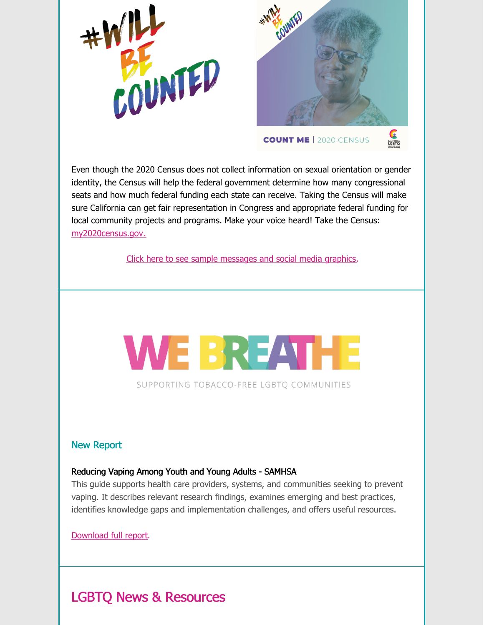



CALIFORNIA

#### **COUNT ME | 2020 CENSUS**

Even though the 2020 Census does not collect information on sexual orientation or gender identity, the Census will help the federal government determine how many congressional seats and how much federal funding each state can receive. Taking the Census will make sure California can get fair representation in Congress and appropriate federal funding for local community projects and programs. Make your voice heard! Take the Census: [my2020census.gov](https://my2020census.gov/).

Click here to see sample [messages](https://docs.google.com/document/d/1X7C3acmYp5datsdT-tq0LFLz3lHHX9nmVAbQSgO0ekI/edit) and social media graphics.



SUPPORTING TOBACCO-FREE LGBTO COMMUNITIES

#### New Report

#### Reducing Vaping Among Youth and Young Adults - SAMHSA

This guide supports health care providers, systems, and communities seeking to prevent vaping. It describes relevant research findings, examines emerging and best practices, identifies knowledge gaps and implementation challenges, and offers useful resources.

[Download](https://californialgbtqhealth.org/wp-content/uploads/2020/07/Reducing_Vaping_Among_Youth_And_Young_Adults.pdf) full report.

### LGBTQ News & Resources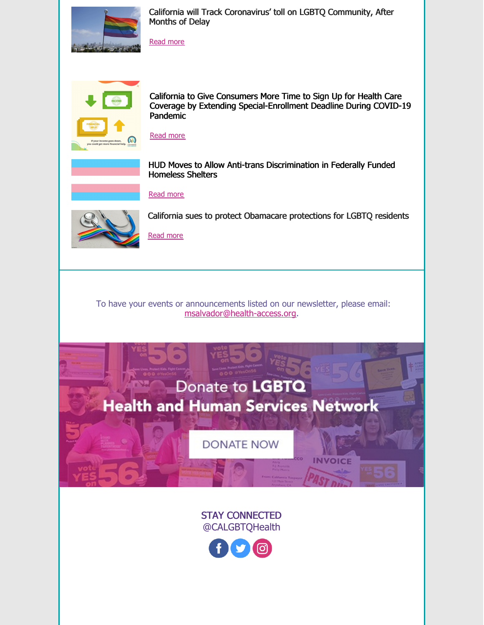

California will Track Coronavirus' toll on LGBTQ Community, After Months of Delay

[Read](https://www.sfchronicle.com/politics/article/California-will-track-coronavirus-toll-on-15440375.php) more



California to Give Consumers More Time to Sign Up for Health Care Coverage by Extending Special-Enrollment Deadline During COVID-19 Pandemic



HUD Moves to Allow Anti-trans Discrimination in Federally Funded Homeless Shelters



[Read](https://www.aclu.org/press-releases/hud-moves-allow-anti-trans-discrimination-federally-funded-homeless-shelters-1) more



California sues to protect Obamacare protections for LGBTQ residents

[Read](https://www.sacbee.com/news/politics-government/capitol-alert/article244352947.html) more

To have your events or announcements listed on our newsletter, please email: [msalvador@health-access.org](mailto:msalvador@health-access.org).

# Donate to LGBTQ **Health and Human Services Network**

**DONATE NOW** 

VOICE